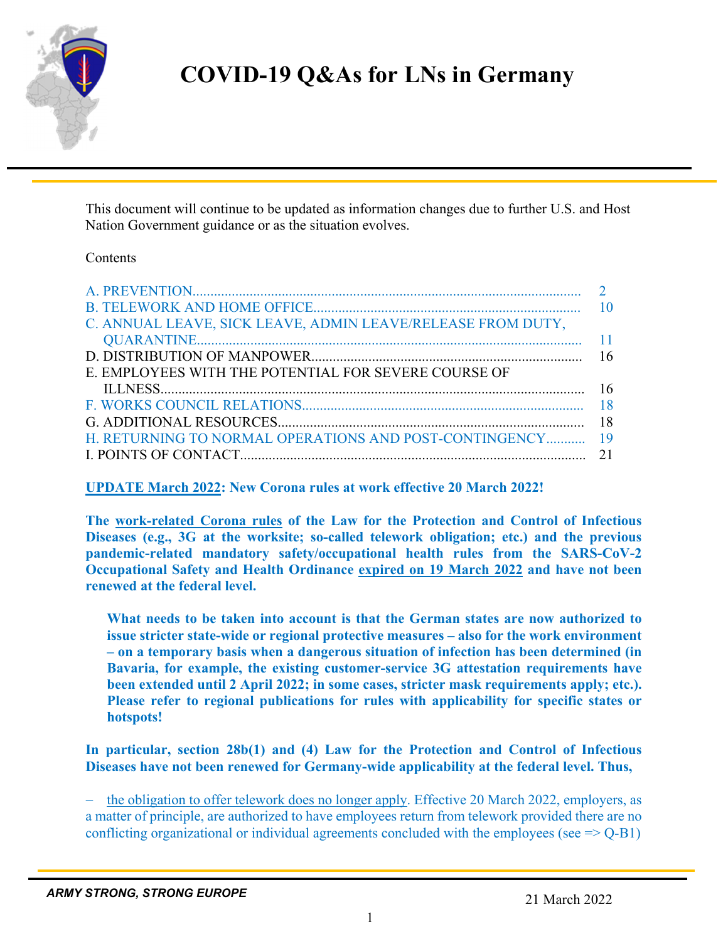

# **COVID-19 Q&As for LNs in Germany**

This document will continue to be updated as information changes due to further U.S. and Host Nation Government guidance or as the situation evolves.

#### **Contents**

| C. ANNUAL LEAVE, SICK LEAVE, ADMIN LEAVE/RELEASE FROM DUTY, |    |
|-------------------------------------------------------------|----|
|                                                             |    |
|                                                             |    |
| E. EMPLOYEES WITH THE POTENTIAL FOR SEVERE COURSE OF        |    |
|                                                             |    |
|                                                             |    |
|                                                             |    |
| H. RETURNING TO NORMAL OPERATIONS AND POST-CONTINGENCY 19   |    |
|                                                             | 21 |
|                                                             |    |

**UPDATE March 2022: New Corona rules at work effective 20 March 2022!** 

**The work-related Corona rules of the Law for the Protection and Control of Infectious Diseases (e.g., 3G at the worksite; so-called telework obligation; etc.) and the previous pandemic-related mandatory safety/occupational health rules from the SARS-CoV-2 Occupational Safety and Health Ordinance expired on 19 March 2022 and have not been renewed at the federal level.** 

**What needs to be taken into account is that the German states are now authorized to issue stricter state-wide or regional protective measures – also for the work environment – on a temporary basis when a dangerous situation of infection has been determined (in Bavaria, for example, the existing customer-service 3G attestation requirements have been extended until 2 April 2022; in some cases, stricter mask requirements apply; etc.). Please refer to regional publications for rules with applicability for specific states or hotspots!** 

**In particular, section 28b(1) and (4) Law for the Protection and Control of Infectious Diseases have not been renewed for Germany-wide applicability at the federal level. Thus,**

 the obligation to offer telework does no longer apply. Effective 20 March 2022, employers, as a matter of principle, are authorized to have employees return from telework provided there are no conflicting organizational or individual agreements concluded with the employees (see  $\Rightarrow$  Q-B1)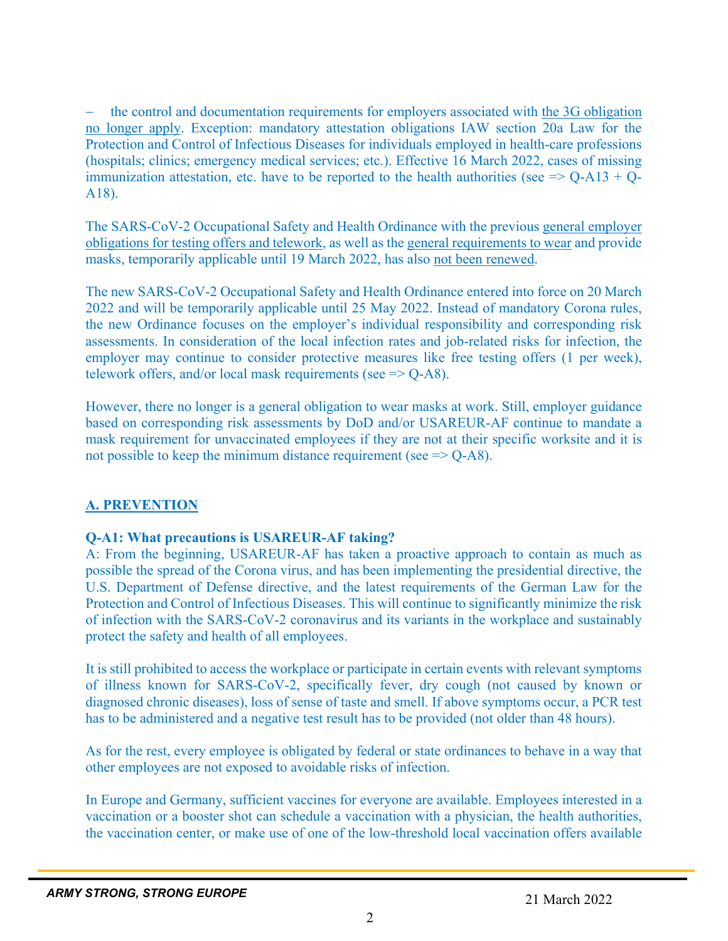the control and documentation requirements for employers associated with the 3G obligation no longer apply. Exception: mandatory attestation obligations IAW section 20a Law for the Protection and Control of Infectious Diseases for individuals employed in health-care professions (hospitals; clinics; emergency medical services; etc.). Effective 16 March 2022, cases of missing immunization attestation, etc. have to be reported to the health authorities (see  $\Rightarrow$  Q-A13 + Q-A18).

The SARS-CoV-2 Occupational Safety and Health Ordinance with the previous general employer obligations for testing offers and telework, as well as the general requirements to wear and provide masks, temporarily applicable until 19 March 2022, has also not been renewed.

The new SARS-CoV-2 Occupational Safety and Health Ordinance entered into force on 20 March 2022 and will be temporarily applicable until 25 May 2022. Instead of mandatory Corona rules, the new Ordinance focuses on the employer's individual responsibility and corresponding risk assessments. In consideration of the local infection rates and job-related risks for infection, the employer may continue to consider protective measures like free testing offers (1 per week), telework offers, and/or local mask requirements (see  $\Rightarrow$  Q-A8).

However, there no longer is a general obligation to wear masks at work. Still, employer guidance based on corresponding risk assessments by DoD and/or USAREUR-AF continue to mandate a mask requirement for unvaccinated employees if they are not at their specific worksite and it is not possible to keep the minimum distance requirement (see  $\Rightarrow$  Q-A8).

# **A. PREVENTION**

# **Q-A1: What precautions is USAREUR-AF taking?**

A: From the beginning, USAREUR-AF has taken a proactive approach to contain as much as possible the spread of the Corona virus, and has been implementing the presidential directive, the U.S. Department of Defense directive, and the latest requirements of the German Law for the Protection and Control of Infectious Diseases. This will continue to significantly minimize the risk of infection with the SARS-CoV-2 coronavirus and its variants in the workplace and sustainably protect the safety and health of all employees.

It is still prohibited to access the workplace or participate in certain events with relevant symptoms of illness known for SARS-CoV-2, specifically fever, dry cough (not caused by known or diagnosed chronic diseases), loss of sense of taste and smell. If above symptoms occur, a PCR test has to be administered and a negative test result has to be provided (not older than 48 hours).

As for the rest, every employee is obligated by federal or state ordinances to behave in a way that other employees are not exposed to avoidable risks of infection.

In Europe and Germany, sufficient vaccines for everyone are available. Employees interested in a vaccination or a booster shot can schedule a vaccination with a physician, the health authorities, the vaccination center, or make use of one of the low-threshold local vaccination offers available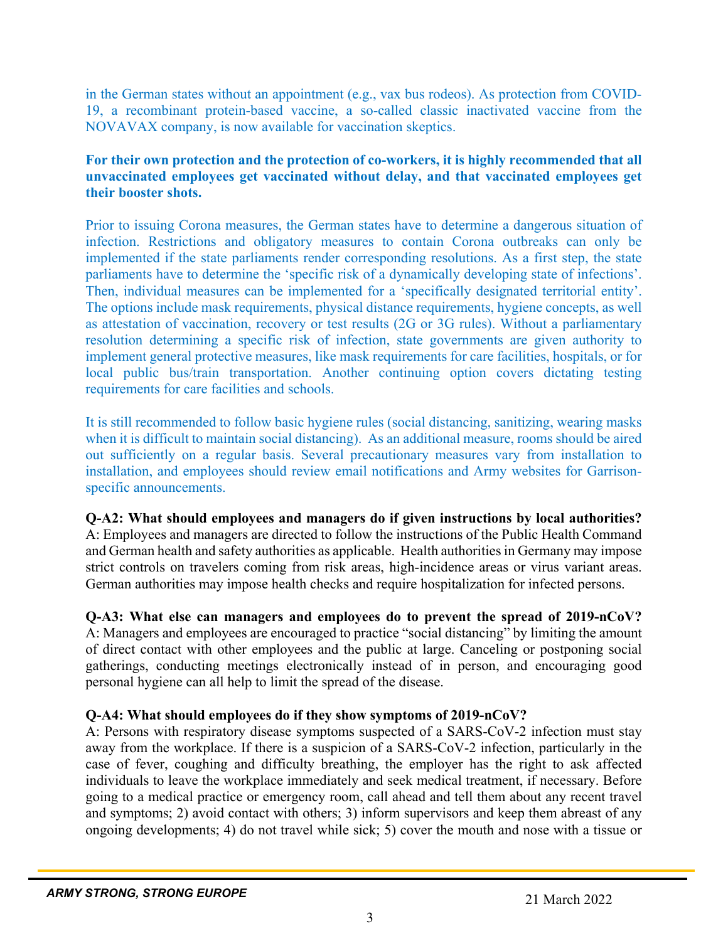in the German states without an appointment (e.g., vax bus rodeos). As protection from COVID-19, a recombinant protein-based vaccine, a so-called classic inactivated vaccine from the NOVAVAX company, is now available for vaccination skeptics.

#### **For their own protection and the protection of co-workers, it is highly recommended that all unvaccinated employees get vaccinated without delay, and that vaccinated employees get their booster shots.**

Prior to issuing Corona measures, the German states have to determine a dangerous situation of infection. Restrictions and obligatory measures to contain Corona outbreaks can only be implemented if the state parliaments render corresponding resolutions. As a first step, the state parliaments have to determine the 'specific risk of a dynamically developing state of infections'. Then, individual measures can be implemented for a 'specifically designated territorial entity'. The options include mask requirements, physical distance requirements, hygiene concepts, as well as attestation of vaccination, recovery or test results (2G or 3G rules). Without a parliamentary resolution determining a specific risk of infection, state governments are given authority to implement general protective measures, like mask requirements for care facilities, hospitals, or for local public bus/train transportation. Another continuing option covers dictating testing requirements for care facilities and schools.

It is still recommended to follow basic hygiene rules (social distancing, sanitizing, wearing masks when it is difficult to maintain social distancing). As an additional measure, rooms should be aired out sufficiently on a regular basis. Several precautionary measures vary from installation to installation, and employees should review email notifications and Army websites for Garrisonspecific announcements.

#### **Q-A2: What should employees and managers do if given instructions by local authorities?** A: Employees and managers are directed to follow the instructions of the Public Health Command and German health and safety authorities as applicable. Health authorities in Germany may impose strict controls on travelers coming from risk areas, high-incidence areas or virus variant areas. German authorities may impose health checks and require hospitalization for infected persons.

**Q-A3: What else can managers and employees do to prevent the spread of 2019-nCoV?** A: Managers and employees are encouraged to practice "social distancing" by limiting the amount of direct contact with other employees and the public at large. Canceling or postponing social gatherings, conducting meetings electronically instead of in person, and encouraging good personal hygiene can all help to limit the spread of the disease.

# **Q-A4: What should employees do if they show symptoms of 2019-nCoV?**

A: Persons with respiratory disease symptoms suspected of a SARS-CoV-2 infection must stay away from the workplace. If there is a suspicion of a SARS-CoV-2 infection, particularly in the case of fever, coughing and difficulty breathing, the employer has the right to ask affected individuals to leave the workplace immediately and seek medical treatment, if necessary. Before going to a medical practice or emergency room, call ahead and tell them about any recent travel and symptoms; 2) avoid contact with others; 3) inform supervisors and keep them abreast of any ongoing developments; 4) do not travel while sick; 5) cover the mouth and nose with a tissue or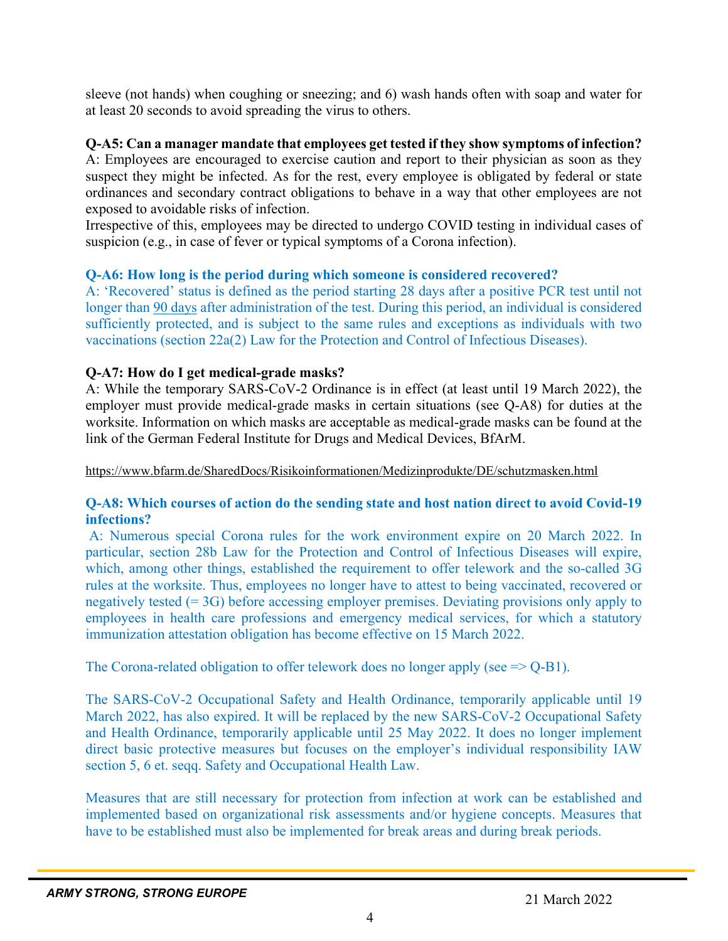sleeve (not hands) when coughing or sneezing; and 6) wash hands often with soap and water for at least 20 seconds to avoid spreading the virus to others.

#### **Q-A5: Can a manager mandate that employees get tested if they show symptoms of infection?**

A: Employees are encouraged to exercise caution and report to their physician as soon as they suspect they might be infected. As for the rest, every employee is obligated by federal or state ordinances and secondary contract obligations to behave in a way that other employees are not exposed to avoidable risks of infection.

Irrespective of this, employees may be directed to undergo COVID testing in individual cases of suspicion (e.g., in case of fever or typical symptoms of a Corona infection).

#### **Q-A6: How long is the period during which someone is considered recovered?**

A: 'Recovered' status is defined as the period starting 28 days after a positive PCR test until not longer than 90 days after administration of the test. During this period, an individual is considered sufficiently protected, and is subject to the same rules and exceptions as individuals with two vaccinations (section 22a(2) Law for the Protection and Control of Infectious Diseases).

## **Q-A7: How do I get medical-grade masks?**

A: While the temporary SARS-CoV-2 Ordinance is in effect (at least until 19 March 2022), the employer must provide medical-grade masks in certain situations (see Q-A8) for duties at the worksite. Information on which masks are acceptable as medical-grade masks can be found at the link of the German Federal Institute for Drugs and Medical Devices, BfArM.

https://www.bfarm.de/SharedDocs/Risikoinformationen/Medizinprodukte/DE/schutzmasken.html

#### **Q-A8: Which courses of action do the sending state and host nation direct to avoid Covid-19 infections?**

A: Numerous special Corona rules for the work environment expire on 20 March 2022. In particular, section 28b Law for the Protection and Control of Infectious Diseases will expire, which, among other things, established the requirement to offer telework and the so-called 3G rules at the worksite. Thus, employees no longer have to attest to being vaccinated, recovered or negatively tested (= 3G) before accessing employer premises. Deviating provisions only apply to employees in health care professions and emergency medical services, for which a statutory immunization attestation obligation has become effective on 15 March 2022.

The Corona-related obligation to offer telework does no longer apply (see  $\geq$  O-B1).

The SARS-CoV-2 Occupational Safety and Health Ordinance, temporarily applicable until 19 March 2022, has also expired. It will be replaced by the new SARS-CoV-2 Occupational Safety and Health Ordinance, temporarily applicable until 25 May 2022. It does no longer implement direct basic protective measures but focuses on the employer's individual responsibility IAW section 5, 6 et. seqq. Safety and Occupational Health Law.

Measures that are still necessary for protection from infection at work can be established and implemented based on organizational risk assessments and/or hygiene concepts. Measures that have to be established must also be implemented for break areas and during break periods.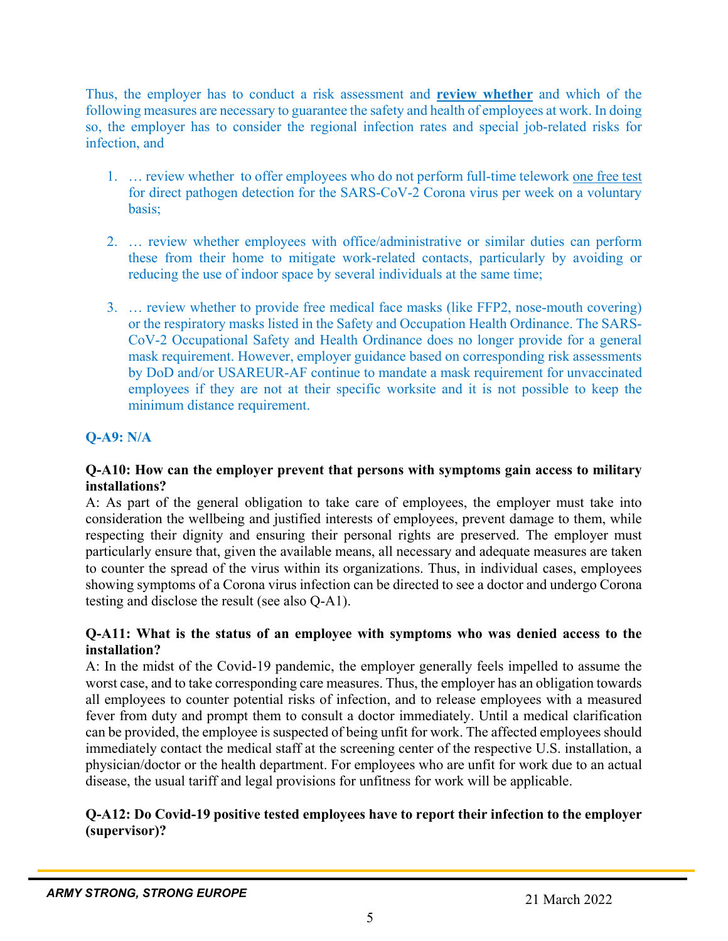Thus, the employer has to conduct a risk assessment and **review whether** and which of the following measures are necessary to guarantee the safety and health of employees at work. In doing so, the employer has to consider the regional infection rates and special job-related risks for infection, and

- 1. … review whether to offer employees who do not perform full-time telework one free test for direct pathogen detection for the SARS-CoV-2 Corona virus per week on a voluntary basis;
- 2. … review whether employees with office/administrative or similar duties can perform these from their home to mitigate work-related contacts, particularly by avoiding or reducing the use of indoor space by several individuals at the same time;
- 3. … review whether to provide free medical face masks (like FFP2, nose-mouth covering) or the respiratory masks listed in the Safety and Occupation Health Ordinance. The SARS-CoV-2 Occupational Safety and Health Ordinance does no longer provide for a general mask requirement. However, employer guidance based on corresponding risk assessments by DoD and/or USAREUR-AF continue to mandate a mask requirement for unvaccinated employees if they are not at their specific worksite and it is not possible to keep the minimum distance requirement.

# **Q-A9: N/A**

#### **Q-A10: How can the employer prevent that persons with symptoms gain access to military installations?**

A: As part of the general obligation to take care of employees, the employer must take into consideration the wellbeing and justified interests of employees, prevent damage to them, while respecting their dignity and ensuring their personal rights are preserved. The employer must particularly ensure that, given the available means, all necessary and adequate measures are taken to counter the spread of the virus within its organizations. Thus, in individual cases, employees showing symptoms of a Corona virus infection can be directed to see a doctor and undergo Corona testing and disclose the result (see also Q-A1).

## **Q-A11: What is the status of an employee with symptoms who was denied access to the installation?**

A: In the midst of the Covid-19 pandemic, the employer generally feels impelled to assume the worst case, and to take corresponding care measures. Thus, the employer has an obligation towards all employees to counter potential risks of infection, and to release employees with a measured fever from duty and prompt them to consult a doctor immediately. Until a medical clarification can be provided, the employee is suspected of being unfit for work. The affected employees should immediately contact the medical staff at the screening center of the respective U.S. installation, a physician/doctor or the health department. For employees who are unfit for work due to an actual disease, the usual tariff and legal provisions for unfitness for work will be applicable.

## **Q-A12: Do Covid-19 positive tested employees have to report their infection to the employer (supervisor)?**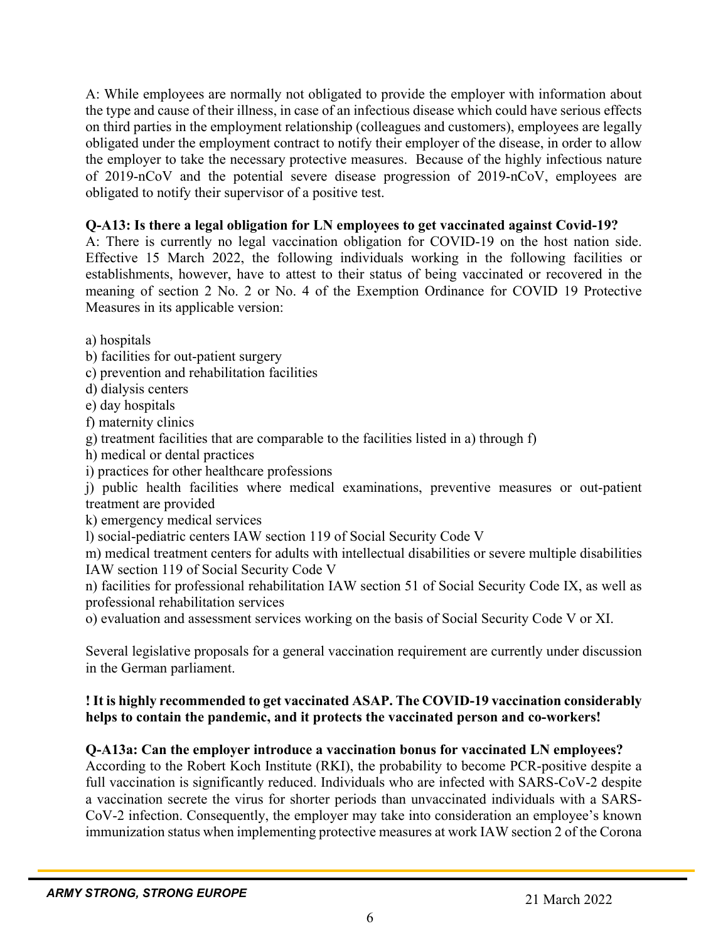A: While employees are normally not obligated to provide the employer with information about the type and cause of their illness, in case of an infectious disease which could have serious effects on third parties in the employment relationship (colleagues and customers), employees are legally obligated under the employment contract to notify their employer of the disease, in order to allow the employer to take the necessary protective measures. Because of the highly infectious nature of 2019-nCoV and the potential severe disease progression of 2019-nCoV, employees are obligated to notify their supervisor of a positive test.

## **Q-A13: Is there a legal obligation for LN employees to get vaccinated against Covid-19?**

A: There is currently no legal vaccination obligation for COVID-19 on the host nation side. Effective 15 March 2022, the following individuals working in the following facilities or establishments, however, have to attest to their status of being vaccinated or recovered in the meaning of section 2 No. 2 or No. 4 of the Exemption Ordinance for COVID 19 Protective Measures in its applicable version:

a) hospitals

- b) facilities for out-patient surgery
- c) prevention and rehabilitation facilities
- d) dialysis centers
- e) day hospitals
- f) maternity clinics
- g) treatment facilities that are comparable to the facilities listed in a) through f)
- h) medical or dental practices
- i) practices for other healthcare professions

j) public health facilities where medical examinations, preventive measures or out-patient treatment are provided

k) emergency medical services

l) social-pediatric centers IAW section 119 of Social Security Code V

m) medical treatment centers for adults with intellectual disabilities or severe multiple disabilities IAW section 119 of Social Security Code V

n) facilities for professional rehabilitation IAW section 51 of Social Security Code IX, as well as professional rehabilitation services

o) evaluation and assessment services working on the basis of Social Security Code V or XI.

Several legislative proposals for a general vaccination requirement are currently under discussion in the German parliament.

## **! It is highly recommended to get vaccinated ASAP. The COVID-19 vaccination considerably helps to contain the pandemic, and it protects the vaccinated person and co-workers!**

# **Q-A13a: Can the employer introduce a vaccination bonus for vaccinated LN employees?**

According to the Robert Koch Institute (RKI), the probability to become PCR-positive despite a full vaccination is significantly reduced. Individuals who are infected with SARS-CoV-2 despite a vaccination secrete the virus for shorter periods than unvaccinated individuals with a SARS-CoV-2 infection. Consequently, the employer may take into consideration an employee's known immunization status when implementing protective measures at work IAW section 2 of the Corona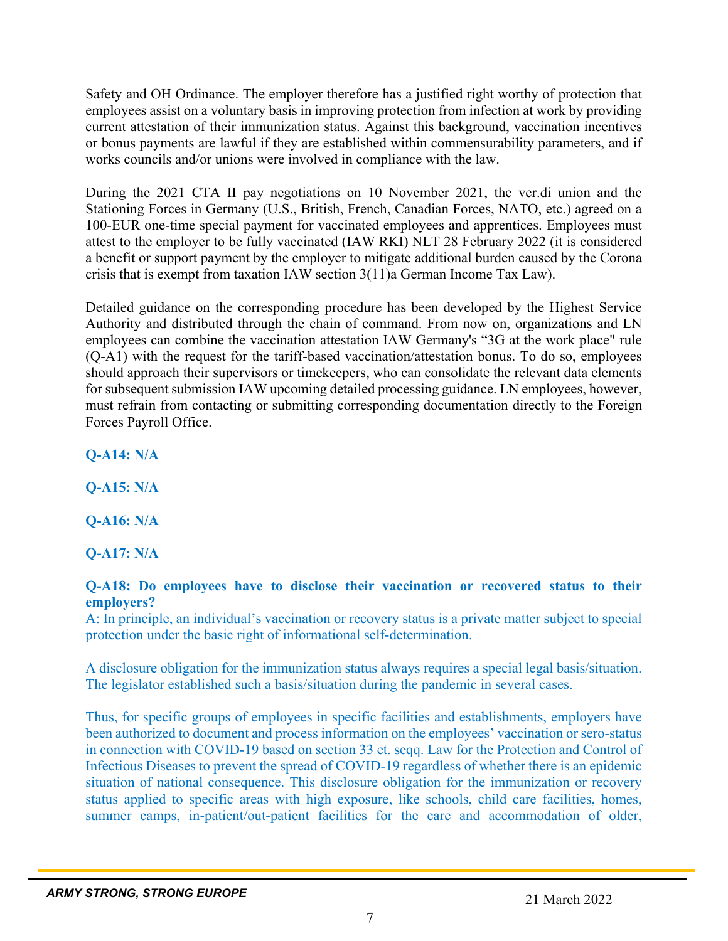Safety and OH Ordinance. The employer therefore has a justified right worthy of protection that employees assist on a voluntary basis in improving protection from infection at work by providing current attestation of their immunization status. Against this background, vaccination incentives or bonus payments are lawful if they are established within commensurability parameters, and if works councils and/or unions were involved in compliance with the law.

During the 2021 CTA II pay negotiations on 10 November 2021, the ver.di union and the Stationing Forces in Germany (U.S., British, French, Canadian Forces, NATO, etc.) agreed on a 100-EUR one-time special payment for vaccinated employees and apprentices. Employees must attest to the employer to be fully vaccinated (IAW RKI) NLT 28 February 2022 (it is considered a benefit or support payment by the employer to mitigate additional burden caused by the Corona crisis that is exempt from taxation IAW section 3(11)a German Income Tax Law).

Detailed guidance on the corresponding procedure has been developed by the Highest Service Authority and distributed through the chain of command. From now on, organizations and LN employees can combine the vaccination attestation IAW Germany's "3G at the work place" rule (Q-A1) with the request for the tariff-based vaccination/attestation bonus. To do so, employees should approach their supervisors or timekeepers, who can consolidate the relevant data elements for subsequent submission IAW upcoming detailed processing guidance. LN employees, however, must refrain from contacting or submitting corresponding documentation directly to the Foreign Forces Payroll Office.

**Q-A14: N/A** 

**Q-A15: N/A**

**Q-A16: N/A**

**Q-A17: N/A**

#### **Q-A18: Do employees have to disclose their vaccination or recovered status to their employers?**

A: In principle, an individual's vaccination or recovery status is a private matter subject to special protection under the basic right of informational self-determination.

A disclosure obligation for the immunization status always requires a special legal basis/situation. The legislator established such a basis/situation during the pandemic in several cases.

Thus, for specific groups of employees in specific facilities and establishments, employers have been authorized to document and process information on the employees' vaccination or sero-status in connection with COVID-19 based on section 33 et. seqq. Law for the Protection and Control of Infectious Diseases to prevent the spread of COVID-19 regardless of whether there is an epidemic situation of national consequence. This disclosure obligation for the immunization or recovery status applied to specific areas with high exposure, like schools, child care facilities, homes, summer camps, in-patient/out-patient facilities for the care and accommodation of older,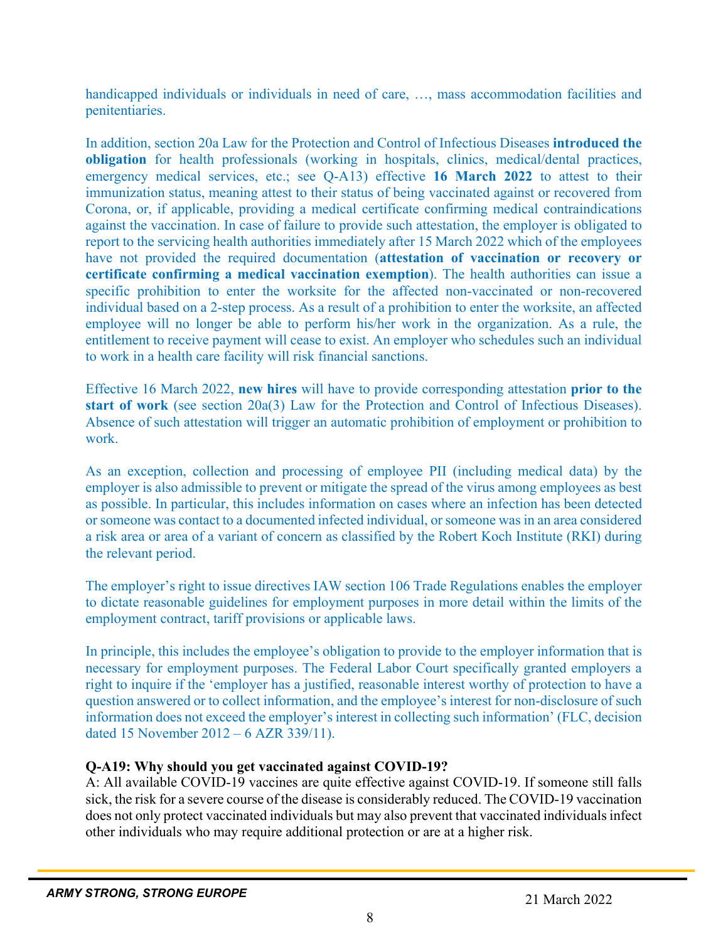handicapped individuals or individuals in need of care, ..., mass accommodation facilities and penitentiaries.

In addition, section 20a Law for the Protection and Control of Infectious Diseases **introduced the obligation** for health professionals (working in hospitals, clinics, medical/dental practices, emergency medical services, etc.; see Q-A13) effective **16 March 2022** to attest to their immunization status, meaning attest to their status of being vaccinated against or recovered from Corona, or, if applicable, providing a medical certificate confirming medical contraindications against the vaccination. In case of failure to provide such attestation, the employer is obligated to report to the servicing health authorities immediately after 15 March 2022 which of the employees have not provided the required documentation (**attestation of vaccination or recovery or certificate confirming a medical vaccination exemption**). The health authorities can issue a specific prohibition to enter the worksite for the affected non-vaccinated or non-recovered individual based on a 2-step process. As a result of a prohibition to enter the worksite, an affected employee will no longer be able to perform his/her work in the organization. As a rule, the entitlement to receive payment will cease to exist. An employer who schedules such an individual to work in a health care facility will risk financial sanctions.

Effective 16 March 2022, **new hires** will have to provide corresponding attestation **prior to the start of work** (see section 20a(3) Law for the Protection and Control of Infectious Diseases). Absence of such attestation will trigger an automatic prohibition of employment or prohibition to work.

As an exception, collection and processing of employee PII (including medical data) by the employer is also admissible to prevent or mitigate the spread of the virus among employees as best as possible. In particular, this includes information on cases where an infection has been detected or someone was contact to a documented infected individual, or someone was in an area considered a risk area or area of a variant of concern as classified by the Robert Koch Institute (RKI) during the relevant period.

The employer's right to issue directives IAW section 106 Trade Regulations enables the employer to dictate reasonable guidelines for employment purposes in more detail within the limits of the employment contract, tariff provisions or applicable laws.

In principle, this includes the employee's obligation to provide to the employer information that is necessary for employment purposes. The Federal Labor Court specifically granted employers a right to inquire if the 'employer has a justified, reasonable interest worthy of protection to have a question answered or to collect information, and the employee's interest for non-disclosure of such information does not exceed the employer's interest in collecting such information' (FLC, decision dated 15 November 2012 – 6 AZR 339/11).

# **Q-A19: Why should you get vaccinated against COVID-19?**

A: All available COVID-19 vaccines are quite effective against COVID-19. If someone still falls sick, the risk for a severe course of the disease is considerably reduced. The COVID-19 vaccination does not only protect vaccinated individuals but may also prevent that vaccinated individuals infect other individuals who may require additional protection or are at a higher risk.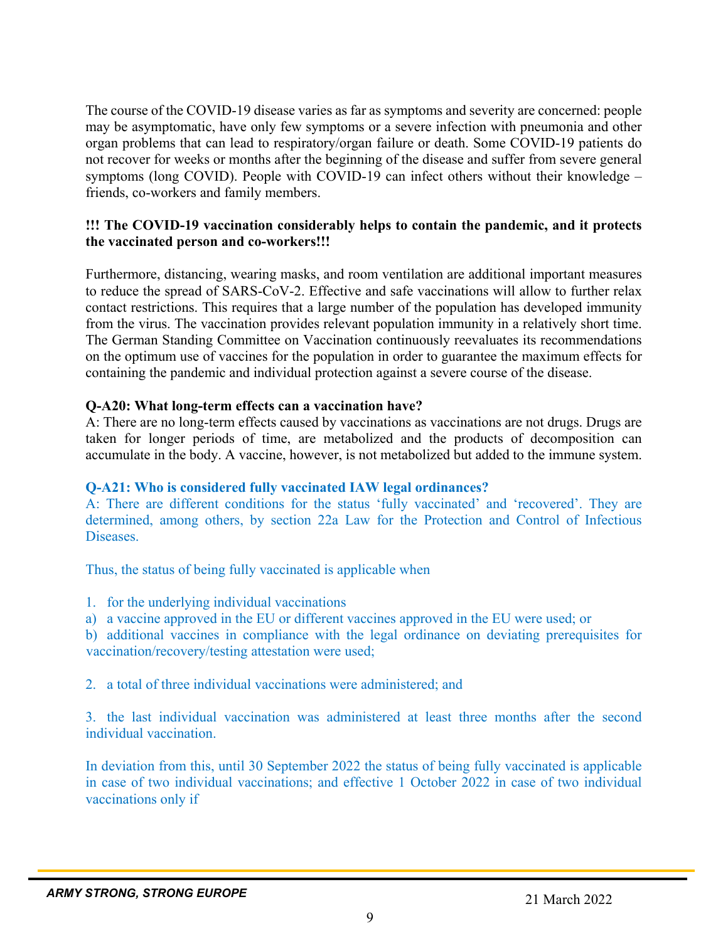The course of the COVID-19 disease varies as far as symptoms and severity are concerned: people may be asymptomatic, have only few symptoms or a severe infection with pneumonia and other organ problems that can lead to respiratory/organ failure or death. Some COVID-19 patients do not recover for weeks or months after the beginning of the disease and suffer from severe general symptoms (long COVID). People with COVID-19 can infect others without their knowledge – friends, co-workers and family members.

#### **!!! The COVID-19 vaccination considerably helps to contain the pandemic, and it protects the vaccinated person and co-workers!!!**

Furthermore, distancing, wearing masks, and room ventilation are additional important measures to reduce the spread of SARS-CoV-2. Effective and safe vaccinations will allow to further relax contact restrictions. This requires that a large number of the population has developed immunity from the virus. The vaccination provides relevant population immunity in a relatively short time. The German Standing Committee on Vaccination continuously reevaluates its recommendations on the optimum use of vaccines for the population in order to guarantee the maximum effects for containing the pandemic and individual protection against a severe course of the disease.

## **Q-A20: What long-term effects can a vaccination have?**

A: There are no long-term effects caused by vaccinations as vaccinations are not drugs. Drugs are taken for longer periods of time, are metabolized and the products of decomposition can accumulate in the body. A vaccine, however, is not metabolized but added to the immune system.

# **Q-A21: Who is considered fully vaccinated IAW legal ordinances?**

A: There are different conditions for the status 'fully vaccinated' and 'recovered'. They are determined, among others, by section 22a Law for the Protection and Control of Infectious Diseases.

Thus, the status of being fully vaccinated is applicable when

1. for the underlying individual vaccinations

a) a vaccine approved in the EU or different vaccines approved in the EU were used; or

b) additional vaccines in compliance with the legal ordinance on deviating prerequisites for vaccination/recovery/testing attestation were used;

2. a total of three individual vaccinations were administered; and

3. the last individual vaccination was administered at least three months after the second individual vaccination.

In deviation from this, until 30 September 2022 the status of being fully vaccinated is applicable in case of two individual vaccinations; and effective 1 October 2022 in case of two individual vaccinations only if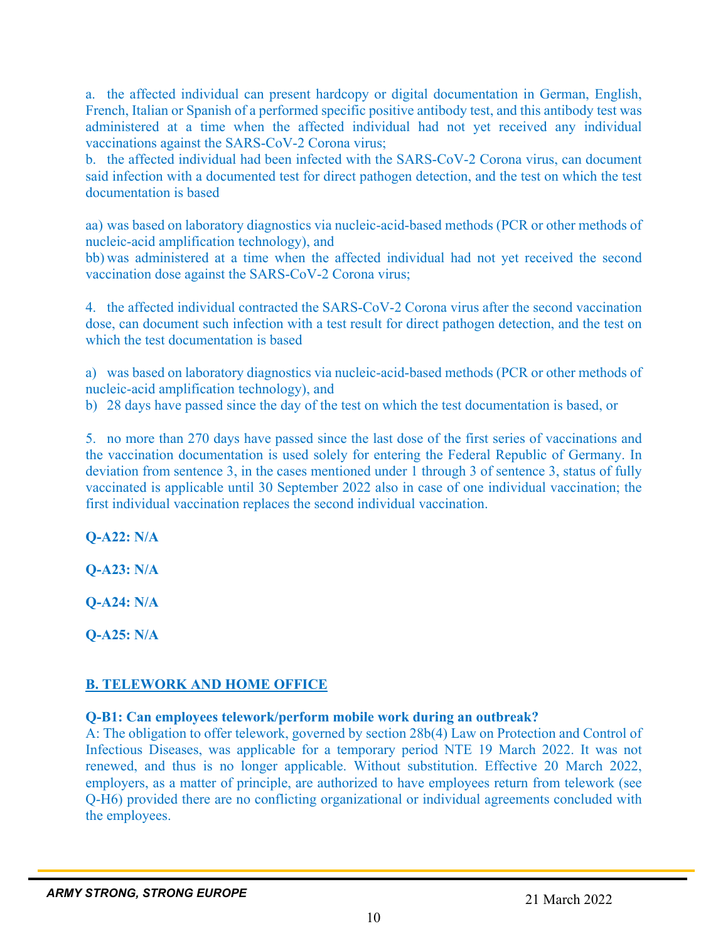a. the affected individual can present hardcopy or digital documentation in German, English, French, Italian or Spanish of a performed specific positive antibody test, and this antibody test was administered at a time when the affected individual had not yet received any individual vaccinations against the SARS-CoV-2 Corona virus;

b. the affected individual had been infected with the SARS-CoV-2 Corona virus, can document said infection with a documented test for direct pathogen detection, and the test on which the test documentation is based

aa) was based on laboratory diagnostics via nucleic-acid-based methods (PCR or other methods of nucleic-acid amplification technology), and

bb) was administered at a time when the affected individual had not yet received the second vaccination dose against the SARS-CoV-2 Corona virus;

4. the affected individual contracted the SARS-CoV-2 Corona virus after the second vaccination dose, can document such infection with a test result for direct pathogen detection, and the test on which the test documentation is based

a) was based on laboratory diagnostics via nucleic-acid-based methods (PCR or other methods of nucleic-acid amplification technology), and

b) 28 days have passed since the day of the test on which the test documentation is based, or

5. no more than 270 days have passed since the last dose of the first series of vaccinations and the vaccination documentation is used solely for entering the Federal Republic of Germany. In deviation from sentence 3, in the cases mentioned under 1 through 3 of sentence 3, status of fully vaccinated is applicable until 30 September 2022 also in case of one individual vaccination; the first individual vaccination replaces the second individual vaccination.

**Q-A22: N/A**

**Q-A23: N/A**

**Q-A24: N/A**

**Q-A25: N/A**

# **B. TELEWORK AND HOME OFFICE**

#### **Q-B1: Can employees telework/perform mobile work during an outbreak?**

A: The obligation to offer telework, governed by section 28b(4) Law on Protection and Control of Infectious Diseases, was applicable for a temporary period NTE 19 March 2022. It was not renewed, and thus is no longer applicable. Without substitution. Effective 20 March 2022, employers, as a matter of principle, are authorized to have employees return from telework (see Q-H6) provided there are no conflicting organizational or individual agreements concluded with the employees.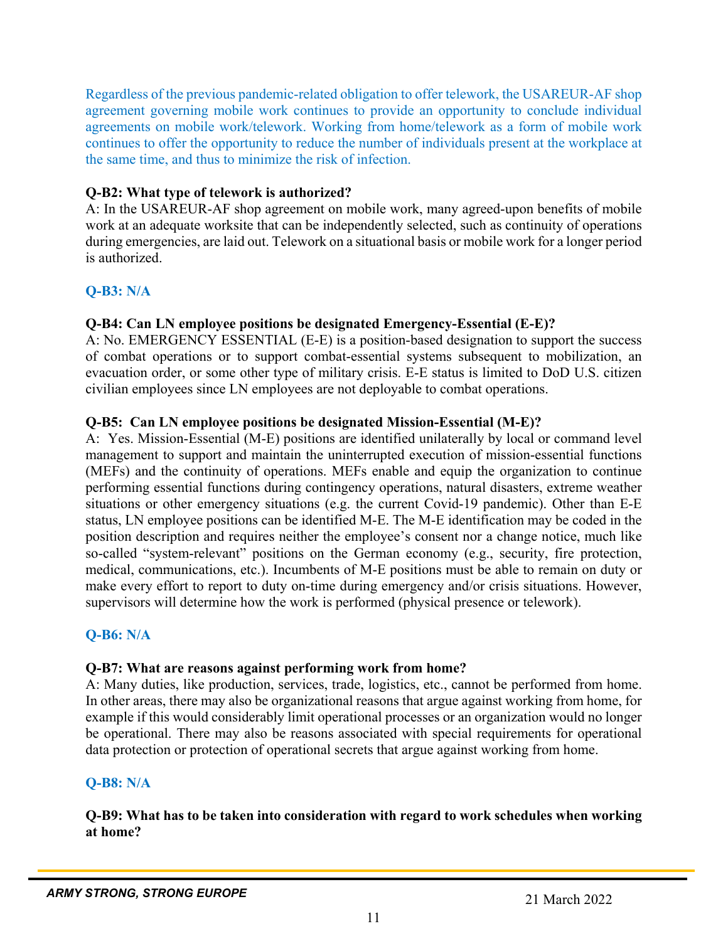Regardless of the previous pandemic-related obligation to offer telework, the USAREUR-AF shop agreement governing mobile work continues to provide an opportunity to conclude individual agreements on mobile work/telework. Working from home/telework as a form of mobile work continues to offer the opportunity to reduce the number of individuals present at the workplace at the same time, and thus to minimize the risk of infection.

#### **Q-B2: What type of telework is authorized?**

A: In the USAREUR-AF shop agreement on mobile work, many agreed-upon benefits of mobile work at an adequate worksite that can be independently selected, such as continuity of operations during emergencies, are laid out. Telework on a situational basis or mobile work for a longer period is authorized.

## **Q-B3: N/A**

#### **Q-B4: Can LN employee positions be designated Emergency-Essential (E-E)?**

A: No. EMERGENCY ESSENTIAL (E-E) is a position-based designation to support the success of combat operations or to support combat-essential systems subsequent to mobilization, an evacuation order, or some other type of military crisis. E-E status is limited to DoD U.S. citizen civilian employees since LN employees are not deployable to combat operations.

#### **Q-B5: Can LN employee positions be designated Mission-Essential (M-E)?**

A: Yes. Mission-Essential (M-E) positions are identified unilaterally by local or command level management to support and maintain the uninterrupted execution of mission-essential functions (MEFs) and the continuity of operations. MEFs enable and equip the organization to continue performing essential functions during contingency operations, natural disasters, extreme weather situations or other emergency situations (e.g. the current Covid-19 pandemic). Other than E-E status, LN employee positions can be identified M-E. The M-E identification may be coded in the position description and requires neither the employee's consent nor a change notice, much like so-called "system-relevant" positions on the German economy (e.g., security, fire protection, medical, communications, etc.). Incumbents of M-E positions must be able to remain on duty or make every effort to report to duty on-time during emergency and/or crisis situations. However, supervisors will determine how the work is performed (physical presence or telework).

#### **Q-B6: N/A**

#### **Q-B7: What are reasons against performing work from home?**

A: Many duties, like production, services, trade, logistics, etc., cannot be performed from home. In other areas, there may also be organizational reasons that argue against working from home, for example if this would considerably limit operational processes or an organization would no longer be operational. There may also be reasons associated with special requirements for operational data protection or protection of operational secrets that argue against working from home.

#### **Q-B8: N/A**

#### **Q-B9: What has to be taken into consideration with regard to work schedules when working at home?**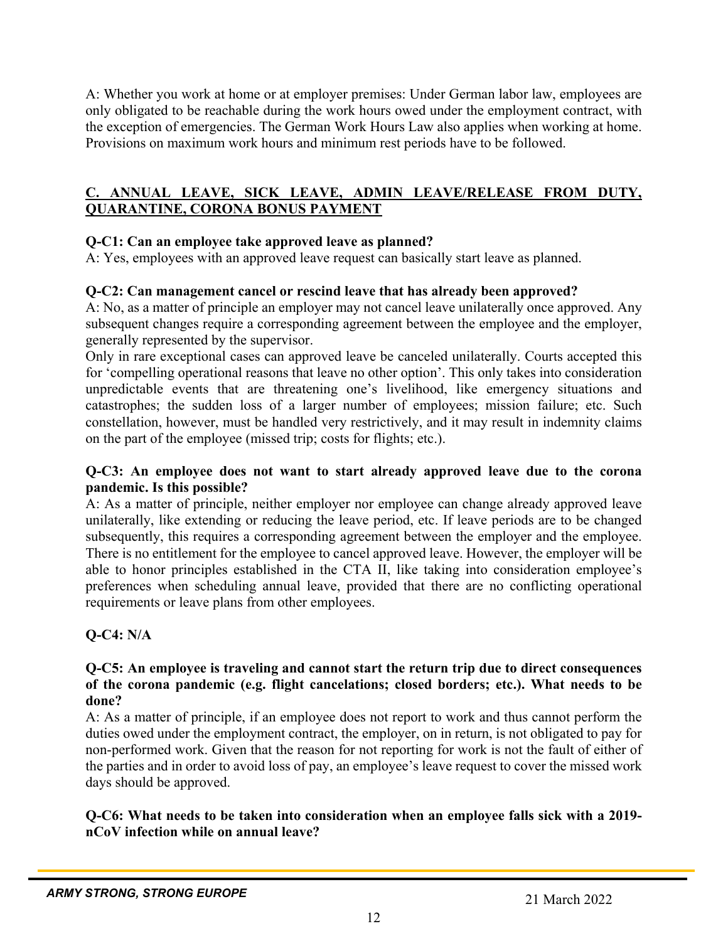A: Whether you work at home or at employer premises: Under German labor law, employees are only obligated to be reachable during the work hours owed under the employment contract, with the exception of emergencies. The German Work Hours Law also applies when working at home. Provisions on maximum work hours and minimum rest periods have to be followed.

# **C. ANNUAL LEAVE, SICK LEAVE, ADMIN LEAVE/RELEASE FROM DUTY, QUARANTINE, CORONA BONUS PAYMENT**

# **Q-C1: Can an employee take approved leave as planned?**

A: Yes, employees with an approved leave request can basically start leave as planned.

## **Q-C2: Can management cancel or rescind leave that has already been approved?**

A: No, as a matter of principle an employer may not cancel leave unilaterally once approved. Any subsequent changes require a corresponding agreement between the employee and the employer, generally represented by the supervisor.

Only in rare exceptional cases can approved leave be canceled unilaterally. Courts accepted this for 'compelling operational reasons that leave no other option'. This only takes into consideration unpredictable events that are threatening one's livelihood, like emergency situations and catastrophes; the sudden loss of a larger number of employees; mission failure; etc. Such constellation, however, must be handled very restrictively, and it may result in indemnity claims on the part of the employee (missed trip; costs for flights; etc.).

#### **Q-C3: An employee does not want to start already approved leave due to the corona pandemic. Is this possible?**

A: As a matter of principle, neither employer nor employee can change already approved leave unilaterally, like extending or reducing the leave period, etc. If leave periods are to be changed subsequently, this requires a corresponding agreement between the employer and the employee. There is no entitlement for the employee to cancel approved leave. However, the employer will be able to honor principles established in the CTA II, like taking into consideration employee's preferences when scheduling annual leave, provided that there are no conflicting operational requirements or leave plans from other employees.

# **Q-C4: N/A**

#### **Q-C5: An employee is traveling and cannot start the return trip due to direct consequences of the corona pandemic (e.g. flight cancelations; closed borders; etc.). What needs to be done?**

A: As a matter of principle, if an employee does not report to work and thus cannot perform the duties owed under the employment contract, the employer, on in return, is not obligated to pay for non-performed work. Given that the reason for not reporting for work is not the fault of either of the parties and in order to avoid loss of pay, an employee's leave request to cover the missed work days should be approved.

## **Q-C6: What needs to be taken into consideration when an employee falls sick with a 2019 nCoV infection while on annual leave?**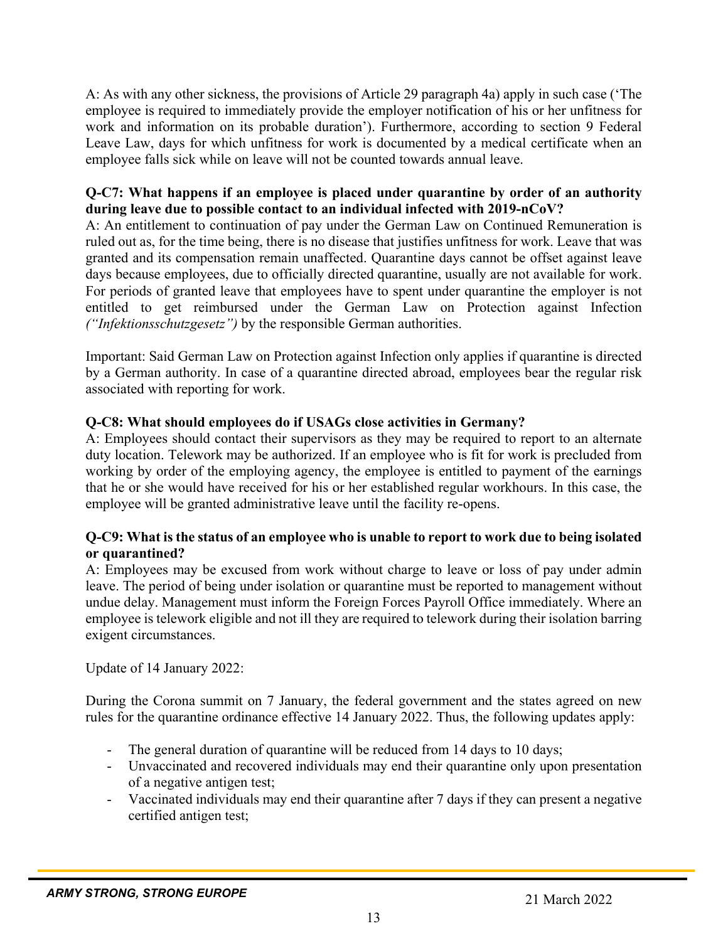A: As with any other sickness, the provisions of Article 29 paragraph 4a) apply in such case ('The employee is required to immediately provide the employer notification of his or her unfitness for work and information on its probable duration'). Furthermore, according to section 9 Federal Leave Law, days for which unfitness for work is documented by a medical certificate when an employee falls sick while on leave will not be counted towards annual leave.

## **Q-C7: What happens if an employee is placed under quarantine by order of an authority during leave due to possible contact to an individual infected with 2019-nCoV?**

A: An entitlement to continuation of pay under the German Law on Continued Remuneration is ruled out as, for the time being, there is no disease that justifies unfitness for work. Leave that was granted and its compensation remain unaffected. Quarantine days cannot be offset against leave days because employees, due to officially directed quarantine, usually are not available for work. For periods of granted leave that employees have to spent under quarantine the employer is not entitled to get reimbursed under the German Law on Protection against Infection *("Infektionsschutzgesetz")* by the responsible German authorities.

Important: Said German Law on Protection against Infection only applies if quarantine is directed by a German authority. In case of a quarantine directed abroad, employees bear the regular risk associated with reporting for work.

## **Q-C8: What should employees do if USAGs close activities in Germany?**

A: Employees should contact their supervisors as they may be required to report to an alternate duty location. Telework may be authorized. If an employee who is fit for work is precluded from working by order of the employing agency, the employee is entitled to payment of the earnings that he or she would have received for his or her established regular workhours. In this case, the employee will be granted administrative leave until the facility re-opens.

#### **Q-C9: What is the status of an employee who is unable to report to work due to being isolated or quarantined?**

A: Employees may be excused from work without charge to leave or loss of pay under admin leave. The period of being under isolation or quarantine must be reported to management without undue delay. Management must inform the Foreign Forces Payroll Office immediately. Where an employee is telework eligible and not ill they are required to telework during their isolation barring exigent circumstances.

Update of 14 January 2022:

During the Corona summit on 7 January, the federal government and the states agreed on new rules for the quarantine ordinance effective 14 January 2022. Thus, the following updates apply:

- The general duration of quarantine will be reduced from 14 days to 10 days;
- Unvaccinated and recovered individuals may end their quarantine only upon presentation of a negative antigen test;
- Vaccinated individuals may end their quarantine after 7 days if they can present a negative certified antigen test;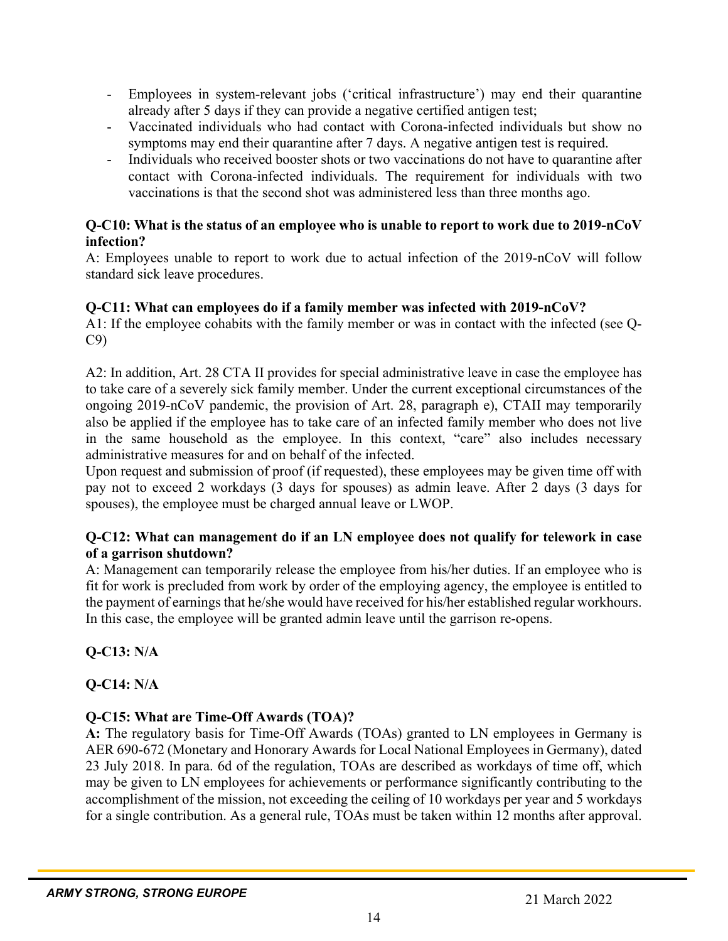- Employees in system-relevant jobs ('critical infrastructure') may end their quarantine already after 5 days if they can provide a negative certified antigen test;
- Vaccinated individuals who had contact with Corona-infected individuals but show no symptoms may end their quarantine after 7 days. A negative antigen test is required.
- Individuals who received booster shots or two vaccinations do not have to quarantine after contact with Corona-infected individuals. The requirement for individuals with two vaccinations is that the second shot was administered less than three months ago.

#### **Q-C10: What is the status of an employee who is unable to report to work due to 2019-nCoV infection?**

A: Employees unable to report to work due to actual infection of the 2019-nCoV will follow standard sick leave procedures.

# **Q-C11: What can employees do if a family member was infected with 2019-nCoV?**

A1: If the employee cohabits with the family member or was in contact with the infected (see Q-C9)

A2: In addition, Art. 28 CTA II provides for special administrative leave in case the employee has to take care of a severely sick family member. Under the current exceptional circumstances of the ongoing 2019-nCoV pandemic, the provision of Art. 28, paragraph e), CTAII may temporarily also be applied if the employee has to take care of an infected family member who does not live in the same household as the employee. In this context, "care" also includes necessary administrative measures for and on behalf of the infected.

Upon request and submission of proof (if requested), these employees may be given time off with pay not to exceed 2 workdays (3 days for spouses) as admin leave. After 2 days (3 days for spouses), the employee must be charged annual leave or LWOP.

## **Q-C12: What can management do if an LN employee does not qualify for telework in case of a garrison shutdown?**

A: Management can temporarily release the employee from his/her duties. If an employee who is fit for work is precluded from work by order of the employing agency, the employee is entitled to the payment of earnings that he/she would have received for his/her established regular workhours. In this case, the employee will be granted admin leave until the garrison re-opens.

**Q-C13: N/A** 

# **Q-C14: N/A**

# **Q-C15: What are Time-Off Awards (TOA)?**

**A:** The regulatory basis for Time-Off Awards (TOAs) granted to LN employees in Germany is AER 690-672 (Monetary and Honorary Awards for Local National Employees in Germany), dated 23 July 2018. In para. 6d of the regulation, TOAs are described as workdays of time off, which may be given to LN employees for achievements or performance significantly contributing to the accomplishment of the mission, not exceeding the ceiling of 10 workdays per year and 5 workdays for a single contribution. As a general rule, TOAs must be taken within 12 months after approval.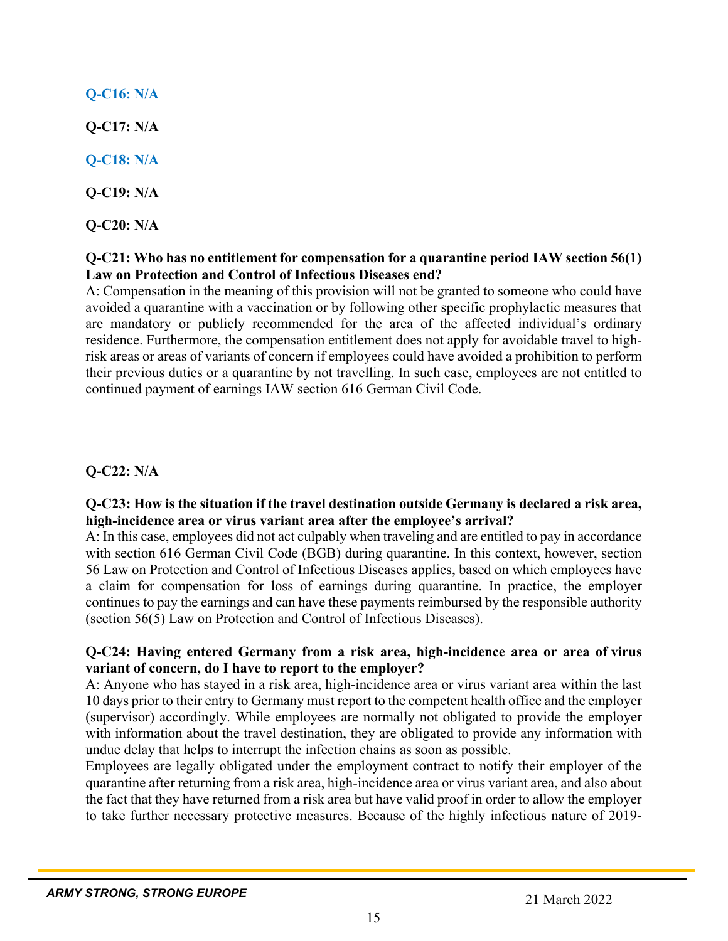# **Q-C16: N/A**

**Q-C17: N/A**

**Q-C18: N/A**

**Q-C19: N/A**

**Q-C20: N/A**

# **Q-C21: Who has no entitlement for compensation for a quarantine period IAW section 56(1) Law on Protection and Control of Infectious Diseases end?**

A: Compensation in the meaning of this provision will not be granted to someone who could have avoided a quarantine with a vaccination or by following other specific prophylactic measures that are mandatory or publicly recommended for the area of the affected individual's ordinary residence. Furthermore, the compensation entitlement does not apply for avoidable travel to highrisk areas or areas of variants of concern if employees could have avoided a prohibition to perform their previous duties or a quarantine by not travelling. In such case, employees are not entitled to continued payment of earnings IAW section 616 German Civil Code.

# **Q-C22: N/A**

## **Q-C23: How is the situation if the travel destination outside Germany is declared a risk area, high-incidence area or virus variant area after the employee's arrival?**

A: In this case, employees did not act culpably when traveling and are entitled to pay in accordance with section 616 German Civil Code (BGB) during quarantine. In this context, however, section 56 Law on Protection and Control of Infectious Diseases applies, based on which employees have a claim for compensation for loss of earnings during quarantine. In practice, the employer continues to pay the earnings and can have these payments reimbursed by the responsible authority (section 56(5) Law on Protection and Control of Infectious Diseases).

# **Q-C24: Having entered Germany from a risk area, high-incidence area or area of virus variant of concern, do I have to report to the employer?**

A: Anyone who has stayed in a risk area, high-incidence area or virus variant area within the last 10 days prior to their entry to Germany must report to the competent health office and the employer (supervisor) accordingly. While employees are normally not obligated to provide the employer with information about the travel destination, they are obligated to provide any information with undue delay that helps to interrupt the infection chains as soon as possible.

Employees are legally obligated under the employment contract to notify their employer of the quarantine after returning from a risk area, high-incidence area or virus variant area, and also about the fact that they have returned from a risk area but have valid proof in order to allow the employer to take further necessary protective measures. Because of the highly infectious nature of 2019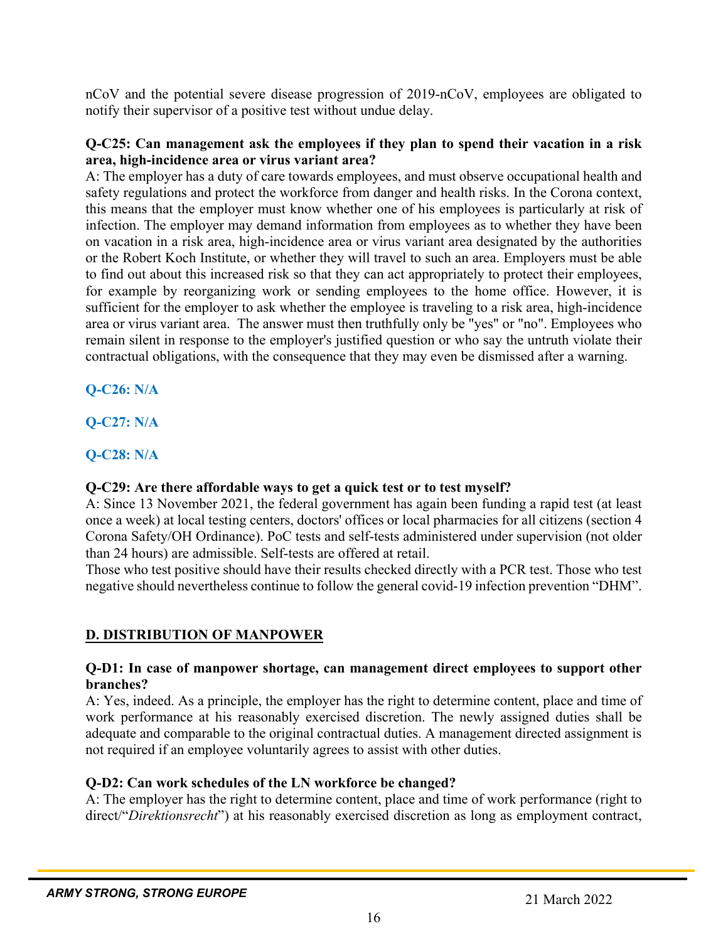nCoV and the potential severe disease progression of 2019-nCoV, employees are obligated to notify their supervisor of a positive test without undue delay.

#### **Q-C25: Can management ask the employees if they plan to spend their vacation in a risk area, high-incidence area or virus variant area?**

A: The employer has a duty of care towards employees, and must observe occupational health and safety regulations and protect the workforce from danger and health risks. In the Corona context, this means that the employer must know whether one of his employees is particularly at risk of infection. The employer may demand information from employees as to whether they have been on vacation in a risk area, high-incidence area or virus variant area designated by the authorities or the Robert Koch Institute, or whether they will travel to such an area. Employers must be able to find out about this increased risk so that they can act appropriately to protect their employees, for example by reorganizing work or sending employees to the home office. However, it is sufficient for the employer to ask whether the employee is traveling to a risk area, high-incidence area or virus variant area. The answer must then truthfully only be "yes" or "no". Employees who remain silent in response to the employer's justified question or who say the untruth violate their contractual obligations, with the consequence that they may even be dismissed after a warning.

**Q-C26: N/A**

**Q-C27: N/A**

# **Q-C28: N/A**

# **Q-C29: Are there affordable ways to get a quick test or to test myself?**

A: Since 13 November 2021, the federal government has again been funding a rapid test (at least once a week) at local testing centers, doctors' offices or local pharmacies for all citizens (section 4 Corona Safety/OH Ordinance). PoC tests and self-tests administered under supervision (not older than 24 hours) are admissible. Self-tests are offered at retail.

Those who test positive should have their results checked directly with a PCR test. Those who test negative should nevertheless continue to follow the general covid-19 infection prevention "DHM".

# **D. DISTRIBUTION OF MANPOWER**

#### **Q-D1: In case of manpower shortage, can management direct employees to support other branches?**

A: Yes, indeed. As a principle, the employer has the right to determine content, place and time of work performance at his reasonably exercised discretion. The newly assigned duties shall be adequate and comparable to the original contractual duties. A management directed assignment is not required if an employee voluntarily agrees to assist with other duties.

# **Q-D2: Can work schedules of the LN workforce be changed?**

A: The employer has the right to determine content, place and time of work performance (right to direct/"*Direktionsrecht*") at his reasonably exercised discretion as long as employment contract,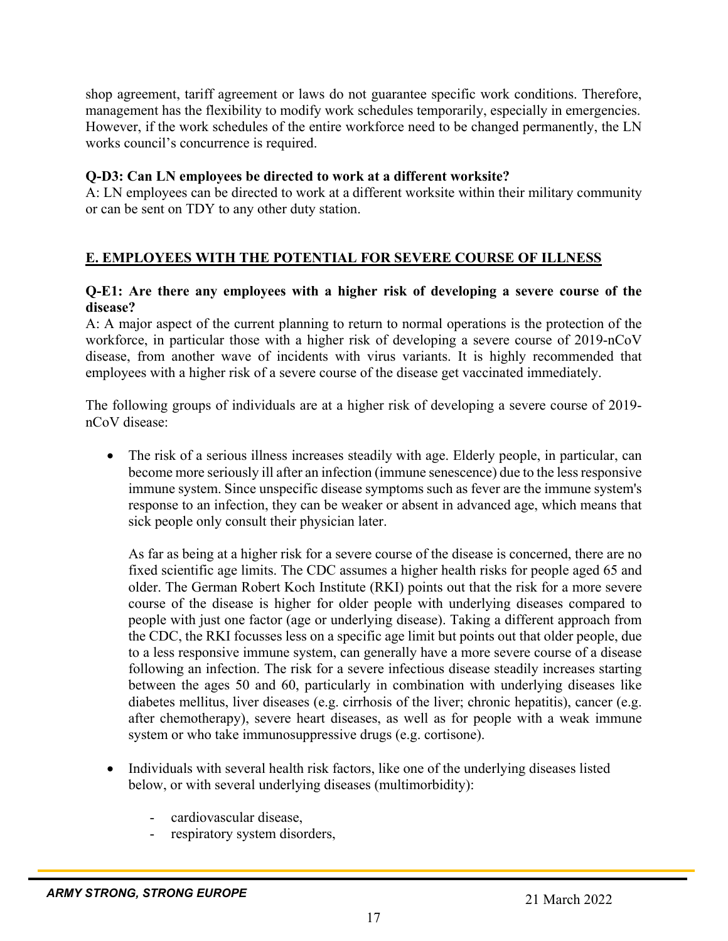shop agreement, tariff agreement or laws do not guarantee specific work conditions. Therefore, management has the flexibility to modify work schedules temporarily, especially in emergencies. However, if the work schedules of the entire workforce need to be changed permanently, the LN works council's concurrence is required.

#### **Q-D3: Can LN employees be directed to work at a different worksite?**

A: LN employees can be directed to work at a different worksite within their military community or can be sent on TDY to any other duty station.

## **E. EMPLOYEES WITH THE POTENTIAL FOR SEVERE COURSE OF ILLNESS**

#### **Q-E1: Are there any employees with a higher risk of developing a severe course of the disease?**

A: A major aspect of the current planning to return to normal operations is the protection of the workforce, in particular those with a higher risk of developing a severe course of 2019-nCoV disease, from another wave of incidents with virus variants. It is highly recommended that employees with a higher risk of a severe course of the disease get vaccinated immediately.

The following groups of individuals are at a higher risk of developing a severe course of 2019 nCoV disease:

 The risk of a serious illness increases steadily with age. Elderly people, in particular, can become more seriously ill after an infection (immune senescence) due to the less responsive immune system. Since unspecific disease symptoms such as fever are the immune system's response to an infection, they can be weaker or absent in advanced age, which means that sick people only consult their physician later.

As far as being at a higher risk for a severe course of the disease is concerned, there are no fixed scientific age limits. The CDC assumes a higher health risks for people aged 65 and older. The German Robert Koch Institute (RKI) points out that the risk for a more severe course of the disease is higher for older people with underlying diseases compared to people with just one factor (age or underlying disease). Taking a different approach from the CDC, the RKI focusses less on a specific age limit but points out that older people, due to a less responsive immune system, can generally have a more severe course of a disease following an infection. The risk for a severe infectious disease steadily increases starting between the ages 50 and 60, particularly in combination with underlying diseases like diabetes mellitus, liver diseases (e.g. cirrhosis of the liver; chronic hepatitis), cancer (e.g. after chemotherapy), severe heart diseases, as well as for people with a weak immune system or who take immunosuppressive drugs (e.g. cortisone).

- Individuals with several health risk factors, like one of the underlying diseases listed below, or with several underlying diseases (multimorbidity):
	- cardiovascular disease,
	- respiratory system disorders,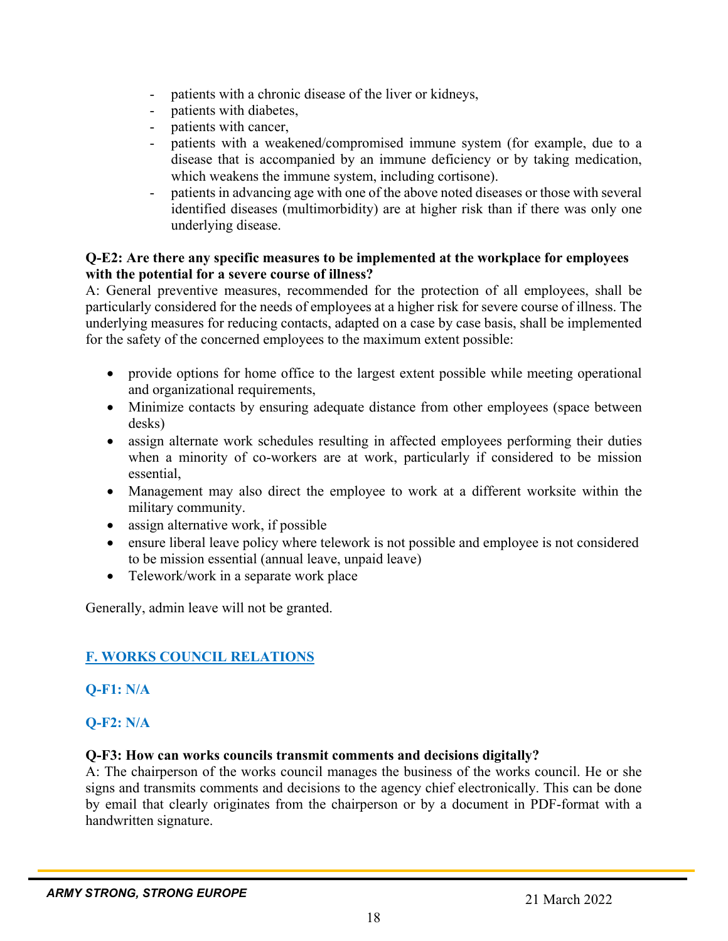- patients with a chronic disease of the liver or kidneys,
- patients with diabetes,
- patients with cancer,
- patients with a weakened/compromised immune system (for example, due to a disease that is accompanied by an immune deficiency or by taking medication, which weakens the immune system, including cortisone).
- patients in advancing age with one of the above noted diseases or those with several identified diseases (multimorbidity) are at higher risk than if there was only one underlying disease.

#### **Q-E2: Are there any specific measures to be implemented at the workplace for employees with the potential for a severe course of illness?**

A: General preventive measures, recommended for the protection of all employees, shall be particularly considered for the needs of employees at a higher risk for severe course of illness. The underlying measures for reducing contacts, adapted on a case by case basis, shall be implemented for the safety of the concerned employees to the maximum extent possible:

- provide options for home office to the largest extent possible while meeting operational and organizational requirements,
- Minimize contacts by ensuring adequate distance from other employees (space between desks)
- assign alternate work schedules resulting in affected employees performing their duties when a minority of co-workers are at work, particularly if considered to be mission essential,
- Management may also direct the employee to work at a different worksite within the military community.
- assign alternative work, if possible
- ensure liberal leave policy where telework is not possible and employee is not considered to be mission essential (annual leave, unpaid leave)
- Telework/work in a separate work place

Generally, admin leave will not be granted.

# **F. WORKS COUNCIL RELATIONS**

# **Q-F1: N/A**

# **Q-F2: N/A**

#### **Q-F3: How can works councils transmit comments and decisions digitally?**

A: The chairperson of the works council manages the business of the works council. He or she signs and transmits comments and decisions to the agency chief electronically. This can be done by email that clearly originates from the chairperson or by a document in PDF-format with a handwritten signature.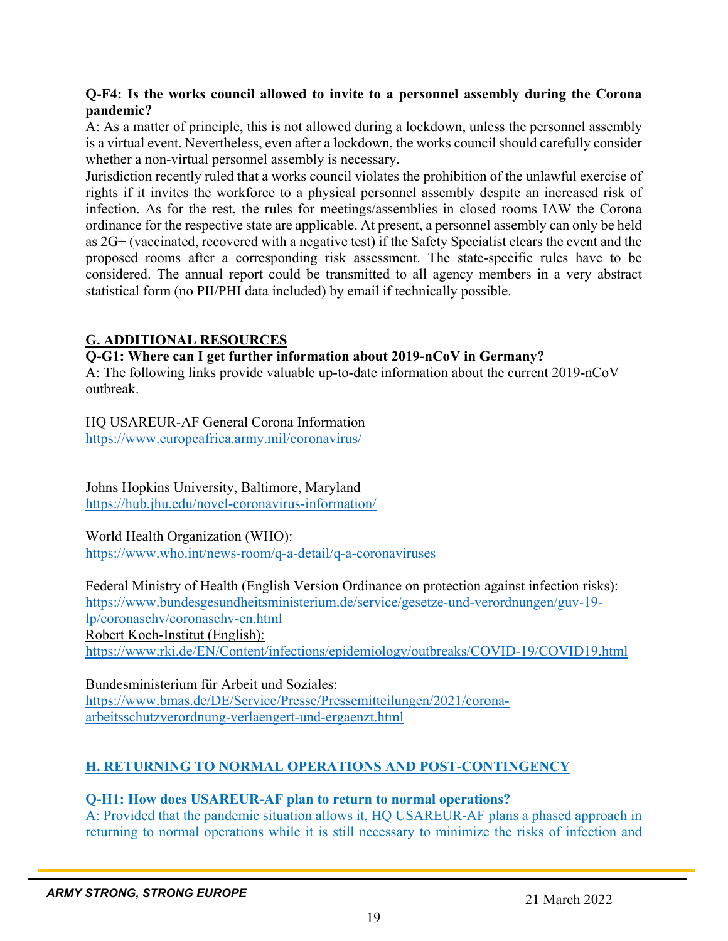#### **Q-F4: Is the works council allowed to invite to a personnel assembly during the Corona pandemic?**

A: As a matter of principle, this is not allowed during a lockdown, unless the personnel assembly is a virtual event. Nevertheless, even after a lockdown, the works council should carefully consider whether a non-virtual personnel assembly is necessary.

Jurisdiction recently ruled that a works council violates the prohibition of the unlawful exercise of rights if it invites the workforce to a physical personnel assembly despite an increased risk of infection. As for the rest, the rules for meetings/assemblies in closed rooms IAW the Corona ordinance for the respective state are applicable. At present, a personnel assembly can only be held as 2G+ (vaccinated, recovered with a negative test) if the Safety Specialist clears the event and the proposed rooms after a corresponding risk assessment. The state-specific rules have to be considered. The annual report could be transmitted to all agency members in a very abstract statistical form (no PII/PHI data included) by email if technically possible.

## **G. ADDITIONAL RESOURCES**

#### **Q-G1: Where can I get further information about 2019-nCoV in Germany?**

A: The following links provide valuable up-to-date information about the current 2019-nCoV outbreak.

HQ USAREUR-AF General Corona Information https://www.europeafrica.army.mil/coronavirus/

Johns Hopkins University, Baltimore, Maryland https://hub.jhu.edu/novel-coronavirus-information/

World Health Organization (WHO): https://www.who.int/news-room/q-a-detail/q-a-coronaviruses

Federal Ministry of Health (English Version Ordinance on protection against infection risks): https://www.bundesgesundheitsministerium.de/service/gesetze-und-verordnungen/guv-19 lp/coronaschv/coronaschv-en.html Robert Koch-Institut (English): https://www.rki.de/EN/Content/infections/epidemiology/outbreaks/COVID-19/COVID19.html

Bundesministerium für Arbeit und Soziales: https://www.bmas.de/DE/Service/Presse/Pressemitteilungen/2021/coronaarbeitsschutzverordnung-verlaengert-und-ergaenzt.html

# **H. RETURNING TO NORMAL OPERATIONS AND POST-CONTINGENCY**

#### **Q-H1: How does USAREUR-AF plan to return to normal operations?**

A: Provided that the pandemic situation allows it, HQ USAREUR-AF plans a phased approach in returning to normal operations while it is still necessary to minimize the risks of infection and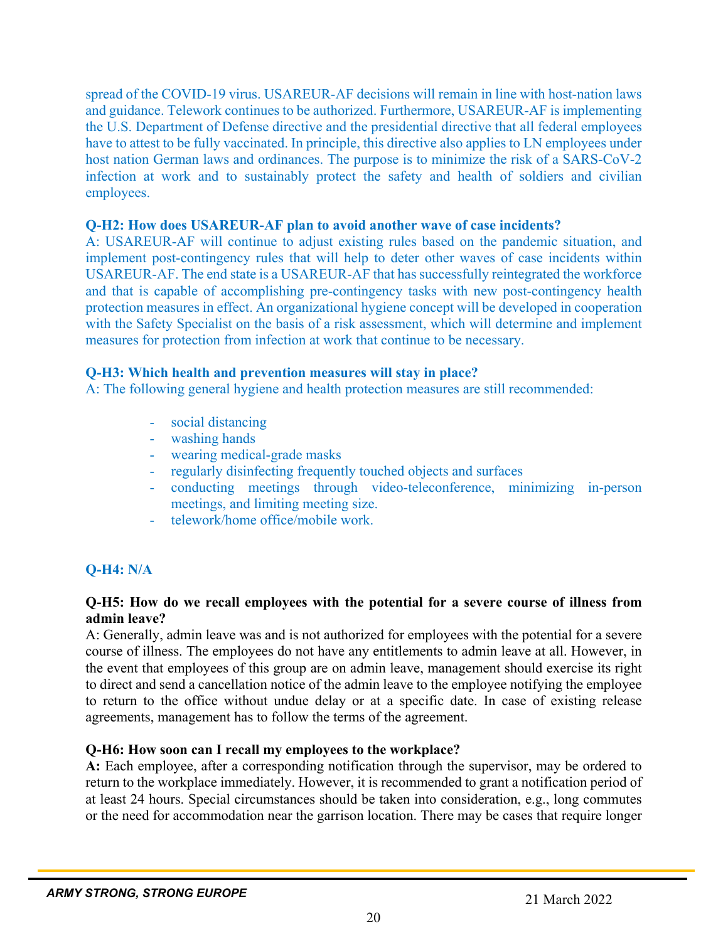spread of the COVID-19 virus. USAREUR-AF decisions will remain in line with host-nation laws and guidance. Telework continues to be authorized. Furthermore, USAREUR-AF is implementing the U.S. Department of Defense directive and the presidential directive that all federal employees have to attest to be fully vaccinated. In principle, this directive also applies to LN employees under host nation German laws and ordinances. The purpose is to minimize the risk of a SARS-CoV-2 infection at work and to sustainably protect the safety and health of soldiers and civilian employees.

#### **Q-H2: How does USAREUR-AF plan to avoid another wave of case incidents?**

A: USAREUR-AF will continue to adjust existing rules based on the pandemic situation, and implement post-contingency rules that will help to deter other waves of case incidents within USAREUR-AF. The end state is a USAREUR-AF that has successfully reintegrated the workforce and that is capable of accomplishing pre-contingency tasks with new post-contingency health protection measures in effect. An organizational hygiene concept will be developed in cooperation with the Safety Specialist on the basis of a risk assessment, which will determine and implement measures for protection from infection at work that continue to be necessary.

#### **Q-H3: Which health and prevention measures will stay in place?**

A: The following general hygiene and health protection measures are still recommended:

- social distancing
- washing hands
- wearing medical-grade masks
- regularly disinfecting frequently touched objects and surfaces
- conducting meetings through video-teleconference, minimizing in-person meetings, and limiting meeting size.
- telework/home office/mobile work.

# **Q-H4: N/A**

#### **Q-H5: How do we recall employees with the potential for a severe course of illness from admin leave?**

A: Generally, admin leave was and is not authorized for employees with the potential for a severe course of illness. The employees do not have any entitlements to admin leave at all. However, in the event that employees of this group are on admin leave, management should exercise its right to direct and send a cancellation notice of the admin leave to the employee notifying the employee to return to the office without undue delay or at a specific date. In case of existing release agreements, management has to follow the terms of the agreement.

#### **Q-H6: How soon can I recall my employees to the workplace?**

**A:** Each employee, after a corresponding notification through the supervisor, may be ordered to return to the workplace immediately. However, it is recommended to grant a notification period of at least 24 hours. Special circumstances should be taken into consideration, e.g., long commutes or the need for accommodation near the garrison location. There may be cases that require longer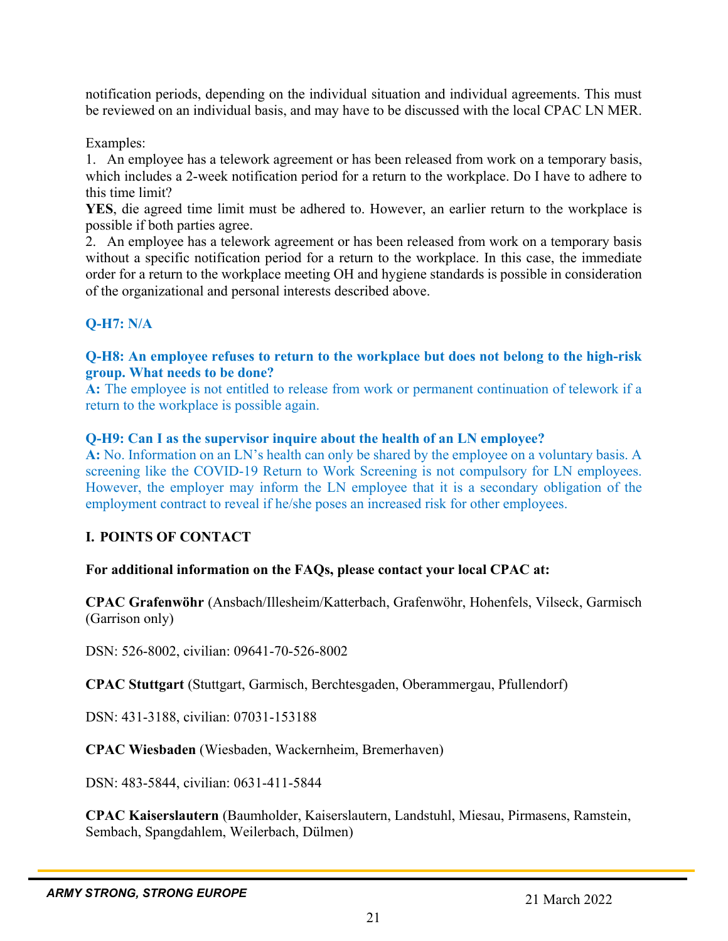notification periods, depending on the individual situation and individual agreements. This must be reviewed on an individual basis, and may have to be discussed with the local CPAC LN MER.

Examples:

1. An employee has a telework agreement or has been released from work on a temporary basis, which includes a 2-week notification period for a return to the workplace. Do I have to adhere to this time limit?

**YES**, die agreed time limit must be adhered to. However, an earlier return to the workplace is possible if both parties agree.

2. An employee has a telework agreement or has been released from work on a temporary basis without a specific notification period for a return to the workplace. In this case, the immediate order for a return to the workplace meeting OH and hygiene standards is possible in consideration of the organizational and personal interests described above.

#### **Q-H7: N/A**

#### **Q-H8: An employee refuses to return to the workplace but does not belong to the high-risk group. What needs to be done?**

**A:** The employee is not entitled to release from work or permanent continuation of telework if a return to the workplace is possible again.

#### **Q-H9: Can I as the supervisor inquire about the health of an LN employee?**

**A:** No. Information on an LN's health can only be shared by the employee on a voluntary basis. A screening like the COVID-19 Return to Work Screening is not compulsory for LN employees. However, the employer may inform the LN employee that it is a secondary obligation of the employment contract to reveal if he/she poses an increased risk for other employees.

#### **I. POINTS OF CONTACT**

#### **For additional information on the FAQs, please contact your local CPAC at:**

**CPAC Grafenwöhr** (Ansbach/Illesheim/Katterbach, Grafenwöhr, Hohenfels, Vilseck, Garmisch (Garrison only)

DSN: 526-8002, civilian: 09641-70-526-8002

**CPAC Stuttgart** (Stuttgart, Garmisch, Berchtesgaden, Oberammergau, Pfullendorf)

DSN: 431-3188, civilian: 07031-153188

**CPAC Wiesbaden** (Wiesbaden, Wackernheim, Bremerhaven)

DSN: 483-5844, civilian: 0631-411-5844

**CPAC Kaiserslautern** (Baumholder, Kaiserslautern, Landstuhl, Miesau, Pirmasens, Ramstein, Sembach, Spangdahlem, Weilerbach, Dülmen)